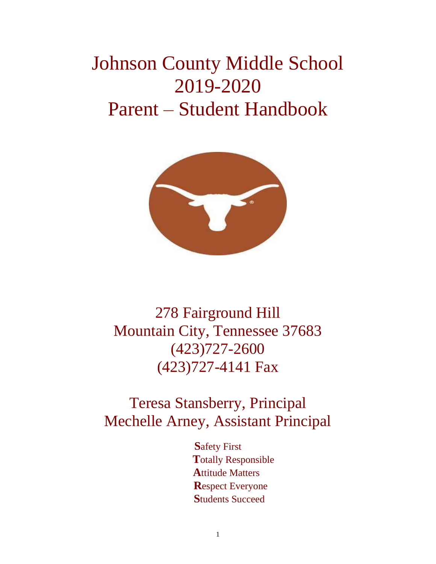# Johnson County Middle School 2019-2020 Parent – Student Handbook



278 Fairground Hill Mountain City, Tennessee 37683 (423)727-2600 (423)727-4141 Fax

## Teresa Stansberry, Principal Mechelle Arney, Assistant Principal

**S**afety First  **T**otally Responsible  **A**ttitude Matters  **R**espect Everyone  **S**tudents Succeed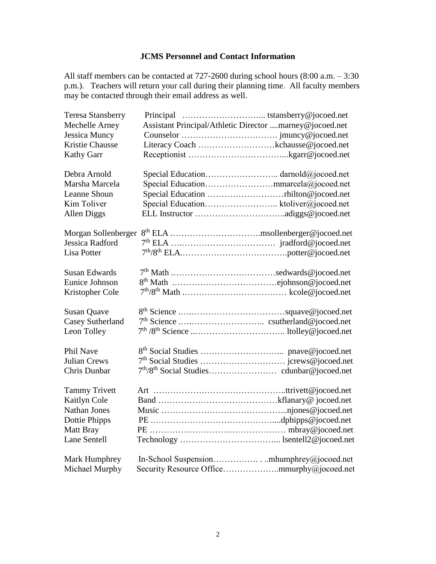## **JCMS Personnel and Contact Information**

All staff members can be contacted at 727-2600 during school hours (8:00 a.m. – 3:30 p.m.). Teachers will return your call during their planning time. All faculty members may be contacted through their email address as well.

| <b>Teresa Stansberry</b> |                                                         |
|--------------------------|---------------------------------------------------------|
| Mechelle Arney           | Assistant Principal/Athletic Director marney@jocoed.net |
| <b>Jessica Muncy</b>     |                                                         |
| Kristie Chausse          |                                                         |
| <b>Kathy Garr</b>        |                                                         |
| Debra Arnold             |                                                         |
| Marsha Marcela           |                                                         |
| Leanne Shoun             |                                                         |
| Kim Toliver              | Special Education ktoliver@jocoed.net                   |
| Allen Diggs              |                                                         |
| Morgan Sollenberger      |                                                         |
| <b>Jessica Radford</b>   |                                                         |
| Lisa Potter              |                                                         |
| <b>Susan Edwards</b>     |                                                         |
| Eunice Johnson           |                                                         |
| Kristopher Cole          |                                                         |
| <b>Susan Quave</b>       |                                                         |
| <b>Casey Sutherland</b>  |                                                         |
| Leon Tolley              |                                                         |
| Phil Nave                |                                                         |
| <b>Julian Crews</b>      |                                                         |
| <b>Chris Dunbar</b>      |                                                         |
| <b>Tammy Trivett</b>     |                                                         |
| Kaitlyn Cole             |                                                         |
| <b>Nathan Jones</b>      |                                                         |
| Dottie Phipps            |                                                         |
| Matt Bray                |                                                         |
| Lane Sentell             |                                                         |
| Mark Humphrey            |                                                         |
| Michael Murphy           |                                                         |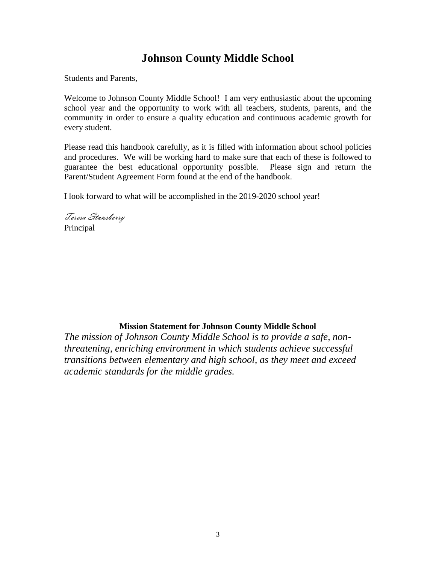## **Johnson County Middle School**

Students and Parents,

Welcome to Johnson County Middle School! I am very enthusiastic about the upcoming school year and the opportunity to work with all teachers, students, parents, and the community in order to ensure a quality education and continuous academic growth for every student.

Please read this handbook carefully, as it is filled with information about school policies and procedures. We will be working hard to make sure that each of these is followed to guarantee the best educational opportunity possible. Please sign and return the Parent/Student Agreement Form found at the end of the handbook.

I look forward to what will be accomplished in the 2019-2020 school year!

Teresa Stansberry Principal

## **Mission Statement for Johnson County Middle School**

*The mission of Johnson County Middle School is to provide a safe, nonthreatening, enriching environment in which students achieve successful transitions between elementary and high school, as they meet and exceed academic standards for the middle grades.*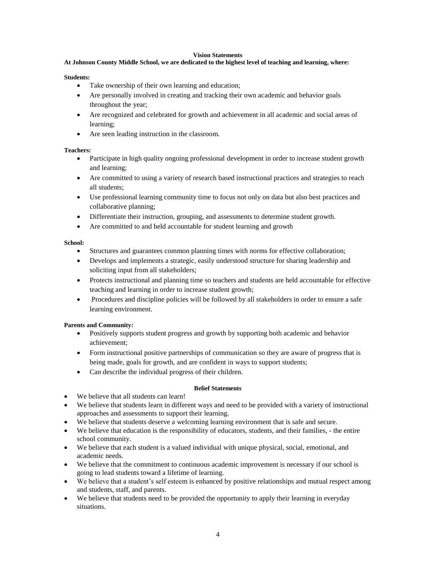#### **Vision Statements**

#### **At Johnson County Middle School, we are dedicated to the highest level of teaching and learning, where:**

#### **Students:**

- Take ownership of their own learning and education;
- Are personally involved in creating and tracking their own academic and behavior goals throughout the year;
- Are recognized and celebrated for growth and achievement in all academic and social areas of learning;
- Are seen leading instruction in the classroom.

#### **Teachers:**

- Participate in high quality ongoing professional development in order to increase student growth and learning;
- Are committed to using a variety of research based instructional practices and strategies to reach all students;
- Use professional learning community time to focus not only on data but also best practices and collaborative planning;
- Differentiate their instruction, grouping, and assessments to determine student growth.
- Are committed to and held accountable for student learning and growth

#### **School:**

- Structures and guarantees common planning times with norms for effective collaboration;
- Develops and implements a strategic, easily understood structure for sharing leadership and soliciting input from all stakeholders;
- Protects instructional and planning time so teachers and students are held accountable for effective teaching and learning in order to increase student growth;
- Procedures and discipline policies will be followed by all stakeholders in order to ensure a safe learning environment.

#### **Parents and Community:**

- Positively supports student progress and growth by supporting both academic and behavior achievement;
- Form instructional positive partnerships of communication so they are aware of progress that is being made, goals for growth, and are confident in ways to support students;
- Can describe the individual progress of their children.

#### **Belief Statements**

- We believe that all students can learn!
- We believe that students learn in different ways and need to be provided with a variety of instructional approaches and assessments to support their learning.
- We believe that students deserve a welcoming learning environment that is safe and secure.
- We believe that education is the responsibility of educators, students, and their families, the entire school community.
- We believe that each student is a valued individual with unique physical, social, emotional, and academic needs.
- We believe that the commitment to continuous academic improvement is necessary if our school is going to lead students toward a lifetime of learning.
- We believe that a student's self esteem is enhanced by positive relationships and mutual respect among and students, staff, and parents.
- We believe that students need to be provided the opportunity to apply their learning in everyday situations.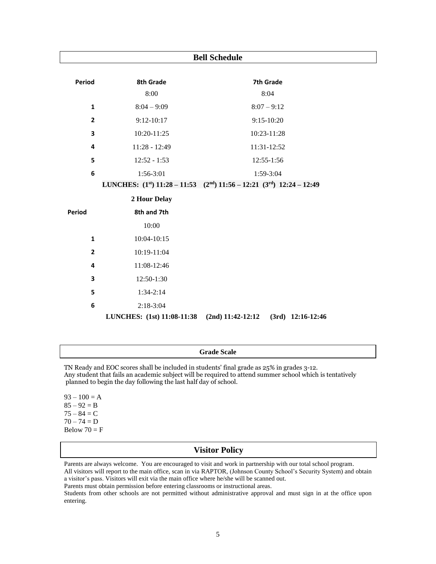| <b>Bell Schedule</b> |                            |                                                                                     |  |  |
|----------------------|----------------------------|-------------------------------------------------------------------------------------|--|--|
| Period               | 8th Grade                  | 7th Grade                                                                           |  |  |
|                      | 8:00                       | 8:04                                                                                |  |  |
| $\mathbf{1}$         | $8:04 - 9:09$              | $8:07 - 9:12$                                                                       |  |  |
| $\overline{2}$       | $9:12-10:17$               | $9:15-10:20$                                                                        |  |  |
| 3                    | 10:20-11:25                | 10:23-11:28                                                                         |  |  |
| 4                    | 11:28 - 12:49              | 11:31-12:52                                                                         |  |  |
| 5                    | $12:52 - 1:53$             | 12:55-1:56                                                                          |  |  |
| 6                    | 1:56-3:01                  | 1:59-3:04                                                                           |  |  |
|                      |                            | LUNCHES: $(1^{st})$ 11:28 - 11:53 $(2^{nd})$ 11:56 - 12:21 $(3^{rd})$ 12:24 - 12:49 |  |  |
|                      | 2 Hour Delay               |                                                                                     |  |  |
| <b>Period</b>        | 8th and 7th                |                                                                                     |  |  |
|                      | 10:00                      |                                                                                     |  |  |
| $\mathbf{1}$         | 10:04-10:15                |                                                                                     |  |  |
| $\mathbf{2}$         | 10:19-11:04                |                                                                                     |  |  |
| 4                    | 11:08-12:46                |                                                                                     |  |  |
| 3                    | 12:50-1:30                 |                                                                                     |  |  |
| 5                    | $1:34-2:14$                |                                                                                     |  |  |
| 6                    | $2:18-3:04$                |                                                                                     |  |  |
|                      | LUNCHES: (1st) 11:08-11:38 | $(2nd)$ 11:42-12:12<br>$(3rd)$ 12:16-12:46                                          |  |  |

### **Grade Scale**

TN Ready and EOC scores shall be included in students' final grade as 25% in grades 3-12. Any student that fails an academic subject will be required to attend summer school which is tentatively planned to begin the day following the last half day of school.

 $93 - 100 = A$  $85 - 92 = B$  $75 - 84 = C$  $70 - 74 = D$ Below  $70 = F$ 

## **Visitor Policy**

Parents are always welcome. You are encouraged to visit and work in partnership with our total school program. All visitors will report to the main office, scan in via RAPTOR, (Johnson County School's Security System) and obtain a visitor's pass. Visitors will exit via the main office where he/she will be scanned out.

Parents must obtain permission before entering classrooms or instructional areas.

Students from other schools are not permitted without administrative approval and must sign in at the office upon entering.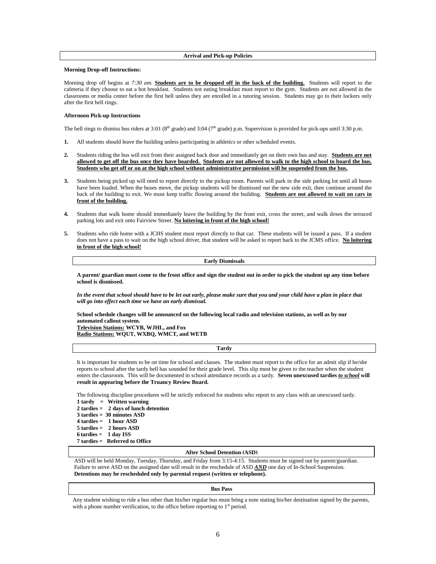#### **Arrival and Pick-up Policies**

#### **Morning Drop-off Instructions:**

Morning drop off begins at *7:30 am*. **Students are to be dropped off in the back of the building.** Students will report to the cafeteria if they choose to eat a hot breakfast. Students not eating breakfast must report to the gym. Students are not allowed in the classrooms or media center before the first bell unless they are enrolled in a tutoring session. Students may go to their lockers only after the first bell rings.

#### **Afternoon Pick-up Instructions**

The bell rings to dismiss bus riders at 3:01 ( $8<sup>th</sup>$  grade) and 3:04 ( $7<sup>th</sup>$  grade) p.m. Supervision is provided for pick-ups until 3:30 p.m.

- **1.** All students should leave the building unless participating in athletics or other scheduled events.
- **2.** Students riding the bus will exit from their assigned back door and immediately get on their own bus and stay. **Students are not allowed to get off the bus once they have boarded. Students are not allowed to walk to the high school to board the bus. Students who get off or on at the high school without administrative permission will be suspended from the bus.**
- **3.** Students being picked up will need to report directly to the pickup room. Parents will park in the side parking lot until all buses have been loaded. When the buses move, the pickup students will be dismissed out the new side exit, then continue around the back of the building to exit. We must keep traffic flowing around the building. **Students are not allowed to wait on cars in front of the building.**
- **4.** Students that walk home should immediately leave the building by the front exit, cross the street, and walk down the terraced parking lots and exit onto Fairview Street. **No loitering in front of the high school!**
- **5.** Students who ride home with a JCHS student must report directly to that car. These students will be issued a pass. If a student does not have a pass to wait on the high school driver, that student will be asked to report back to the JCMS office. **No loitering in front of the high school!**

**Early Dismissals**

**A parent/ guardian must come to the front office and sign the student out in order to pick the student up any time before school is dismissed.**

*In the event that school should have to be let out early, please make sure that you and your child have a plan in place that will go into effect each time we have an early dismissal.* 

**School schedule changes will be announced on the following local radio and television stations, as well as by our automated callout system. Television Stations: WCYB, WJHL, and Fox Radio Stations: WQUT, WXBQ, WMCT, and WETB**

**Tardy**

It is important for students to be on time for school and classes. The student must report to the office for an admit slip if he/she reports to school after the tardy bell has sounded for their grade level. This slip must be given to the teacher when the student enters the classroom. This will be documented in school attendance records as a tardy. **Seven unexcused tardies** *to school* **will result in appearing before the Truancy Review Board.**

The following discipline procedures will be strictly enforced for students who report to any class with an unexcused tardy.

**1 tardy = Written warning 2 tardies = 2 days of lunch detention 3 tardies = 30 minutes ASD 4 tardies = 1 hour ASD 5 tardies = 2 hours ASD 6 tardies = 1 day ISS 7 tardies = Referred to Office**

#### **After School Detention (ASD)**

 ASD will be held Monday, Tuesday, Thursday, and Friday from 3:15-4:15. Students must be signed out by parent/guardian. Failure to serve ASD on the assigned date will result in the reschedule of ASD AND one day of In-School Suspension.  **Detentions may be rescheduled only by parental request (written or telephone).**

#### **Bus Pass**

 Any student wishing to ride a bus other than his/her regular bus must bring a note stating his/her destination signed by the parents, with a phone number verification, to the office before reporting to  $1<sup>st</sup>$  period.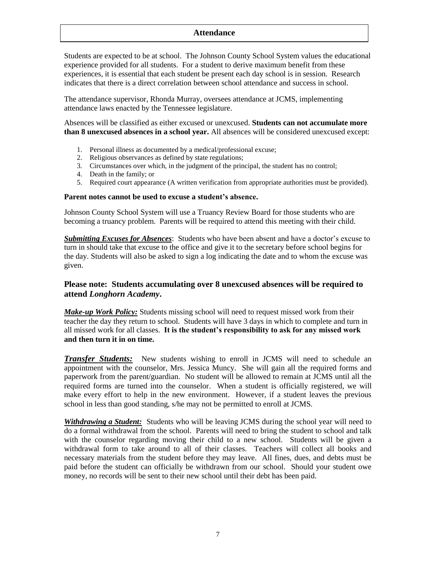## **Attendance**

Students are expected to be at school. The Johnson County School System values the educational experience provided for all students. For a student to derive maximum benefit from these experiences, it is essential that each student be present each day school is in session. Research indicates that there is a direct correlation between school attendance and success in school.

The attendance supervisor, Rhonda Murray, oversees attendance at JCMS, implementing attendance laws enacted by the Tennessee legislature.

Absences will be classified as either excused or unexcused. **Students can not accumulate more than 8 unexcused absences in a school year.** All absences will be considered unexcused except:

- 1. Personal illness as documented by a medical/professional excuse;
- 2. Religious observances as defined by state regulations;
- 3. Circumstances over which, in the judgment of the principal, the student has no control;
- 4. Death in the family; or
- 5. Required court appearance (A written verification from appropriate authorities must be provided).

## **Parent notes cannot be used to excuse a student's absence.**

Johnson County School System will use a Truancy Review Board for those students who are becoming a truancy problem. Parents will be required to attend this meeting with their child.

*Submitting Excuses for Absences*: Students who have been absent and have a doctor's excuse to turn in should take that excuse to the office and give it to the secretary before school begins for the day. Students will also be asked to sign a log indicating the date and to whom the excuse was given.

## **Please note: Students accumulating over 8 unexcused absences will be required to attend** *Longhorn Academy***.**

*Make-up Work Policy:* Students missing school will need to request missed work from their teacher the day they return to school. Students will have 3 days in which to complete and turn in all missed work for all classes. **It is the student's responsibility to ask for any missed work and then turn it in on time.**

*Transfer Students:* New students wishing to enroll in JCMS will need to schedule an appointment with the counselor, Mrs. Jessica Muncy. She will gain all the required forms and paperwork from the parent/guardian. No student will be allowed to remain at JCMS until all the required forms are turned into the counselor. When a student is officially registered, we will make every effort to help in the new environment. However, if a student leaves the previous school in less than good standing, s/he may not be permitted to enroll at JCMS.

*Withdrawing a Student:* Students who will be leaving JCMS during the school year will need to do a formal withdrawal from the school. Parents will need to bring the student to school and talk with the counselor regarding moving their child to a new school. Students will be given a withdrawal form to take around to all of their classes. Teachers will collect all books and necessary materials from the student before they may leave. All fines, dues, and debts must be paid before the student can officially be withdrawn from our school. Should your student owe money, no records will be sent to their new school until their debt has been paid.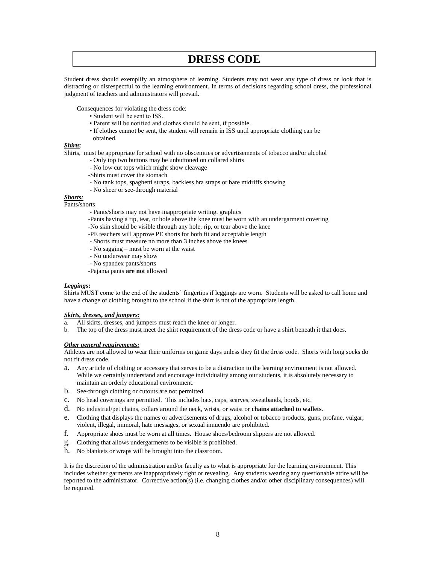## **DRESS CODE**

Student dress should exemplify an atmosphere of learning. Students may not wear any type of dress or look that is distracting or disrespectful to the learning environment. In terms of decisions regarding school dress, the professional judgment of teachers and administrators will prevail.

Consequences for violating the dress code:

- Student will be sent to ISS.
- Parent will be notified and clothes should be sent, if possible.
- If clothes cannot be sent, the student will remain in ISS until appropriate clothing can be
- obtained.

## *Shirts*:

Shirts, must be appropriate for school with no obscenities or advertisements of tobacco and/or alcohol

- Only top two buttons may be unbuttoned on collared shirts
- No low cut tops which might show cleavage
- -Shirts must cover the stomach
- No tank tops, spaghetti straps, backless bra straps or bare midriffs showing
- No sheer or see-through material

#### *Shorts:*

#### Pants/shorts

- Pants/shorts may not have inappropriate writing, graphics

- -Pants having a rip, tear, or hole above the knee must be worn with an undergarment covering
- -No skin should be visible through any hole, rip, or tear above the knee
- -PE teachers will approve PE shorts for both fit and acceptable length
- Shorts must measure no more than 3 inches above the knees
- No sagging must be worn at the waist
- No underwear may show
- No spandex pants/shorts
- -Pajama pants **are not** allowed

#### *Leggings***:**

Shirts MUST come to the end of the students' fingertips if leggings are worn. Students will be asked to call home and have a change of clothing brought to the school if the shirt is not of the appropriate length.

#### *Skirts, dresses, and jumpers:*

- a. All skirts, dresses, and jumpers must reach the knee or longer.
- b. The top of the dress must meet the shirt requirement of the dress code or have a shirt beneath it that does.

#### *Other general requirements:*

Athletes are not allowed to wear their uniforms on game days unless they fit the dress code. Shorts with long socks do not fit dress code.

- a. Any article of clothing or accessory that serves to be a distraction to the learning environment is not allowed. While we certainly understand and encourage individuality among our students, it is absolutely necessary to maintain an orderly educational environment.
- b. See-through clothing or cutouts are not permitted.
- c. No head coverings are permitted. This includes hats, caps, scarves, sweatbands, hoods, etc.
- d. No industrial/pet chains, collars around the neck, wrists, or waist or **chains attached to wallets**.
- e. Clothing that displays the names or advertisements of drugs, alcohol or tobacco products, guns, profane, vulgar, violent, illegal, immoral, hate messages, or sexual innuendo are prohibited.
- f. Appropriate shoes must be worn at all times. House shoes/bedroom slippers are not allowed.
- g. Clothing that allows undergarments to be visible is prohibited.
- h. No blankets or wraps will be brought into the classroom.

It is the discretion of the administration and/or faculty as to what is appropriate for the learning environment. This includes whether garments are inappropriately tight or revealing. Any students wearing any questionable attire will be reported to the administrator. Corrective action(s) (i.e. changing clothes and/or other disciplinary consequences) will be required.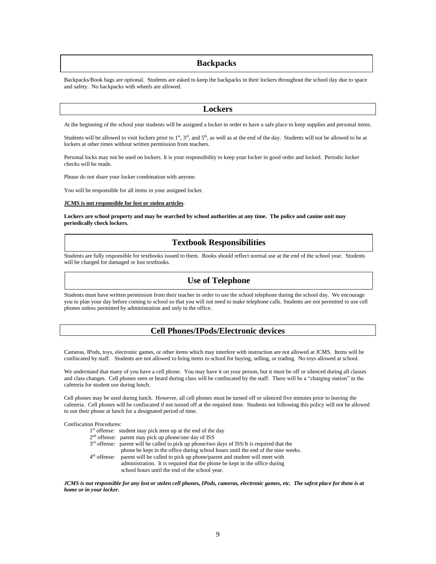#### **Backpacks**

Backpacks/Book bags are optional. Students are asked to keep the backpacks in their lockers throughout the school day due to space and safety. No backpacks with wheels are allowed.

#### **Lockers**

At the beginning of the school year students will be assigned a locker in order to have a safe place to keep supplies and personal items.

Students will be allowed to visit lockers prior to  $1<sup>st</sup>$ ,  $3<sup>rd</sup>$ , and  $5<sup>th</sup>$ , as well as at the end of the day. Students will not be allowed to be at lockers at other times without written permission from teachers.

Personal locks may not be used on lockers. It is your responsibility to keep your locker in good order and locked. Periodic locker checks will be made.

Please do not share your locker combination with anyone.

You will be responsible for all items in your assigned locker.

#### **JCMS is not responsible for lost or stolen articles**.

**Lockers are school property and may be searched by school authorities at any time. The police and canine unit may periodically check lockers.**

#### **Textbook Responsibilities**

Students are fully responsible for textbooks issued to them. Books should reflect normal use at the end of the school year. Students will be charged for damaged or lost textbooks.

#### **Use of Telephone**

Students must have written permission from their teacher in order to use the school telephone during the school day. We encourage you to plan your day before coming to school so that you will not need to make telephone calls. Students are not permitted to use cell phones unless permitted by administration and only in the office.

#### **Cell Phones/IPods/Electronic devices**

Cameras, IPods, toys, electronic games, or other items which may interfere with instruction are not allowed at JCMS. Items will be confiscated by staff. Students are not allowed to bring items to school for buying, selling, or trading. No toys allowed at school.

We understand that many of you have a cell phone. You may have it on your person, but it must be off or silenced during all classes and class changes. Cell phones seen or heard during class will be confiscated by the staff. There will be a "charging station" in the cafeteria for student use during lunch.

Cell phones may be used during lunch. However, all cell phones must be turned off or silenced five minutes prior to leaving the cafeteria. Cell phones will be confiscated if not turned off at the required time. Students not following this policy will not be allowed to use their phone at lunch for a designated period of time.

Confiscation Procedures:

|                | $1st$ offense: student may pick item up at the end of the day                                 |
|----------------|-----------------------------------------------------------------------------------------------|
|                | 2 <sup>nd</sup> offense: parent may pick up phone/one day of ISS                              |
|                | $3rd$ offense: parent will be called to pick up phone/two days of ISS/It is required that the |
|                | phone be kept in the office during school hours until the end of the nine weeks.              |
| $4th$ offense: | parent will be called to pick up phone/parent and student will meet with                      |
|                | administration. It is required that the phone be kept in the office during                    |
|                | school hours until the end of the school year.                                                |

*JCMS is not responsible for any lost or stolen cell phones, IPods, cameras, electronic games, etc. The safest place for them is at home or in your locker.*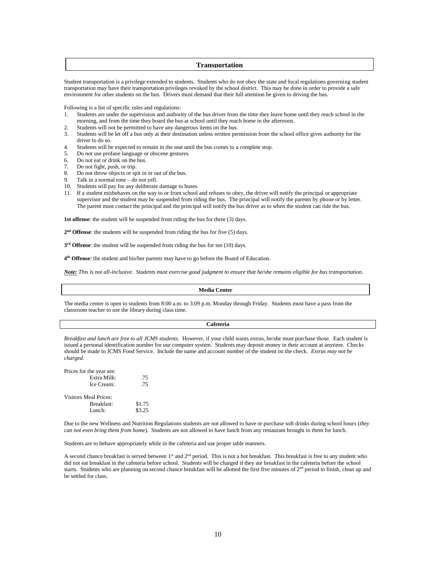#### **Transportation**

Student transportation is a privilege extended to students. Students who do not obey the state and local regulations governing student transportation may have their transportation privileges revoked by the school district. This may be done in order to provide a safe environment for other students on the bus. Drivers must demand that their full attention be given to driving the bus.

Following is a list of specific rules and regulations:

- 1. Students are under the supervision and authority of the bus driver from the time they leave home until they reach school in the morning, and from the time they board the bus at school until they reach home in the afternoon.
- 2. Students will not be permitted to have any dangerous items on the bus.<br>2. Students will be let off a bus only at their destination unless written per
- Students will be let off a bus only at their destination unless written permission from the school office gives authority for the driver to do so.
- 4. Students will be expected to remain in the seat until the bus comes to a complete stop.
- 5. Do not use profane language or obscene gestures.
- 6. Do not eat or drink on the bus.
- 7. Do not fight, push, or trip.
- 8. Do not throw objects or spit in or out of the bus.
- 9. Talk in a normal tone do not yell.
- 10. Students will pay for any deliberate damage to buses.
- 11. If a student misbehaves on the way to or from school and refuses to obey, the driver will notify the principal or appropriate supervisor and the student may be suspended from riding the bus. The principal will notify the parents by phone or by letter. The parent must contact the principal and the principal will notify the bus driver as to when the student can ride the bus.

**1st offense**: the student will be suspended from riding the bus for three (3) days.

2<sup>nd</sup> Offense: the students will be suspended from riding the bus for five (5) days.

**3 rd Offense**: the student will be suspended from riding the bus for ten (10) days.

**4 th Offense**: the student and his/her parents may have to go before the Board of Education.

*Note: This is not all-inclusive. Students must exercise good judgment to ensure that he/she remains eligible for bus transportation.*

#### **Media Center**

The media center is open to students from 8:00 a.m. to 3:09 p.m. Monday through Friday. Students must have a pass from the classroom teacher to use the library during class time.

#### **Cafeteria**

*Breakfast and lunch are free to all JCMS students.* However, if your child wants extras, he/she must purchase those. Each student is issued a personal identification number for our computer system. Students may deposit money in their account at anytime. Checks should be made to JCMS Food Service. Include the name and account number of the student on the check. *Extras may not be charged.* 

| Prices for the year are:     |        |  |  |
|------------------------------|--------|--|--|
| Extra Milk:                  | .75    |  |  |
| Ice Cream:                   | .75    |  |  |
| <b>Visitors Meal Prices:</b> |        |  |  |
| Breakfast:                   | \$1.75 |  |  |
| $L$ unch:                    | \$3.25 |  |  |

Due to the new Wellness and Nutrition Regulations students are not allowed to have or purchase soft drinks during school hours (*they can not even bring them from home*). Students are not allowed to have lunch from any restaurant brought to them for lunch.

Students are to behave appropriately while in the cafeteria and use proper table manners.

A second chance breakfast is served between 1<sup>st</sup> and 2<sup>nd</sup> period. This is not a hot breakfast. This breakfast is free to any student who did not eat breakfast in the cafeteria before school. Students will be charged if they ate breakfast in the cafeteria before the school starts. Students who are planning on second chance breakfast will be allotted the first five minutes of 2<sup>nd</sup> period to finish, clean up and be settled for class.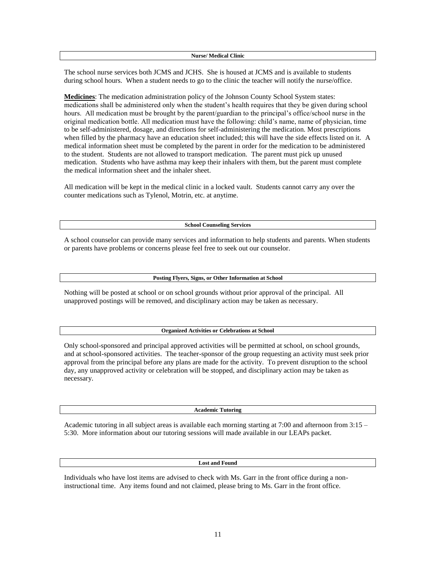The school nurse services both JCMS and JCHS. She is housed at JCMS and is available to students during school hours. When a student needs to go to the clinic the teacher will notify the nurse/office.

**Medicines**: The medication administration policy of the Johnson County School System states: medications shall be administered only when the student's health requires that they be given during school hours. All medication must be brought by the parent/guardian to the principal's office/school nurse in the original medication bottle. All medication must have the following: child's name, name of physician, time to be self-administered, dosage, and directions for self-administering the medication. Most prescriptions when filled by the pharmacy have an education sheet included; this will have the side effects listed on it. A medical information sheet must be completed by the parent in order for the medication to be administered to the student. Students are not allowed to transport medication. The parent must pick up unused medication. Students who have asthma may keep their inhalers with them, but the parent must complete the medical information sheet and the inhaler sheet.

All medication will be kept in the medical clinic in a locked vault. Students cannot carry any over the counter medications such as Tylenol, Motrin, etc. at anytime.

**School Counseling Services**

A school counselor can provide many services and information to help students and parents. When students or parents have problems or concerns please feel free to seek out our counselor.

#### **Posting Flyers, Signs, or Other Information at School**

Nothing will be posted at school or on school grounds without prior approval of the principal. All unapproved postings will be removed, and disciplinary action may be taken as necessary.

#### **Organized Activities or Celebrations at School**

Only school-sponsored and principal approved activities will be permitted at school, on school grounds, and at school-sponsored activities. The teacher-sponsor of the group requesting an activity must seek prior approval from the principal before any plans are made for the activity. To prevent disruption to the school day, any unapproved activity or celebration will be stopped, and disciplinary action may be taken as necessary.

#### **Academic Tutoring**

Academic tutoring in all subject areas is available each morning starting at 7:00 and afternoon from 3:15 – 5:30. More information about our tutoring sessions will made available in our LEAPs packet.

#### **Lost and Found**

Individuals who have lost items are advised to check with Ms. Garr in the front office during a noninstructional time. Any items found and not claimed, please bring to Ms. Garr in the front office.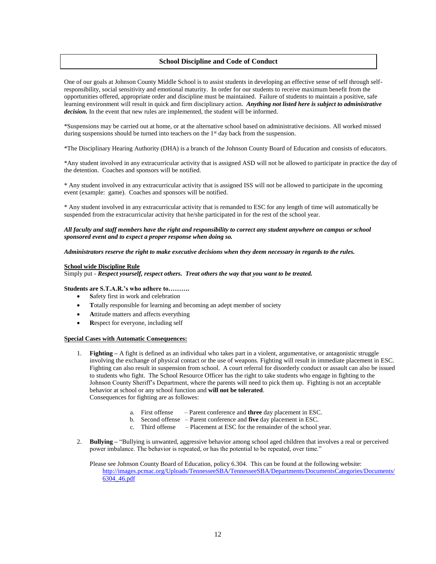#### **School Discipline and Code of Conduct**

One of our goals at Johnson County Middle School is to assist students in developing an effective sense of self through selfresponsibility, social sensitivity and emotional maturity. In order for our students to receive maximum benefit from the opportunities offered, appropriate order and discipline must be maintained. Failure of students to maintain a positive, safe learning environment will result in quick and firm disciplinary action. *Anything not listed here is subject to administrative decision.* In the event that new rules are implemented, the student will be informed.

\*Suspensions may be carried out at home, or at the alternative school based on administrative decisions. All worked missed during suspensions should be turned into teachers on the  $1<sup>st</sup>$  day back from the suspension.

\*The Disciplinary Hearing Authority (DHA) is a branch of the Johnson County Board of Education and consists of educators.

\*Any student involved in any extracurricular activity that is assigned ASD will not be allowed to participate in practice the day of the detention. Coaches and sponsors will be notified.

\* Any student involved in any extracurricular activity that is assigned ISS will not be allowed to participate in the upcoming event (example: game). Coaches and sponsors will be notified.

\* Any student involved in any extracurricular activity that is remanded to ESC for any length of time will automatically be suspended from the extracurricular activity that he/she participated in for the rest of the school year.

#### *All faculty and staff members have the right and responsibility to correct any student anywhere on campus or school sponsored event and to expect a proper response when doing so.*

*Administrators reserve the right to make executive decisions when they deem necessary in regards to the rules.*

#### **School wide Discipline Rule**

Simply put - *Respect yourself, respect others. Treat others the way that you want to be treated.*

#### **Students are S.T.A.R.'s who adhere to……….**

- **S**afety first in work and celebration
- **T**otally responsible for learning and becoming an adept member of society
- **A**ttitude matters and affects everything
- **R**espect for everyone, including self

#### **Special Cases with Automatic Consequences:**

- 1. **Fighting –** A fight is defined as an individual who takes part in a violent, argumentative, or antagonistic struggle involving the exchange of physical contact or the use of weapons. Fighting will result in immediate placement in ESC. Fighting can also result in suspension from school. A court referral for disorderly conduct or assault can also be issued to students who fight. The School Resource Officer has the right to take students who engage in fighting to the Johnson County Sheriff's Department, where the parents will need to pick them up. Fighting is not an acceptable behavior at school or any school function and **will not be tolerated**. Consequences for fighting are as followes:
	- a. First offense Parent conference and **three** day placement in ESC.
	- b. Second offense Parent conference and **five** day placement in ESC.
	- c. Third offense Placement at ESC for the remainder of the school year.
- 2. **Bullying –** "Bullying is unwanted, aggressive behavior among school aged children that involves a real or perceived power imbalance. The behavior is repeated, or has the potential to be repeated, over time."

Please see Johnson County Board of Education, policy 6.304. This can be found at the following website: [http://images.pcmac.org/Uploads/TennesseeSBA/TennesseeSBA/Departments/DocumentsCategories/Documents/](http://images.pcmac.org/Uploads/TennesseeSBA/TennesseeSBA/Departments/DocumentsCategories/Documents/6304_46.pdf) [6304\\_46.pdf](http://images.pcmac.org/Uploads/TennesseeSBA/TennesseeSBA/Departments/DocumentsCategories/Documents/6304_46.pdf)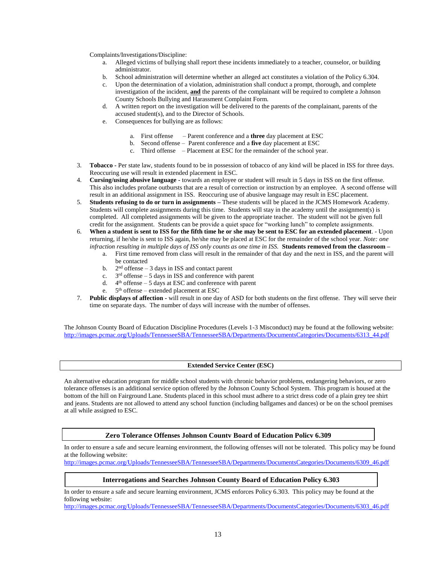Complaints/Investigations/Discipline:

- a. Alleged victims of bullying shall report these incidents immediately to a teacher, counselor, or building administrator.
- b. School administration will determine whether an alleged act constitutes a violation of the Policy 6.304.
- c. Upon the determination of a violation, administration shall conduct a prompt, thorough, and complete investigation of the incident, **and** the parents of the complainant will be required to complete a Johnson County Schools Bullying and Harassment Complaint Form.
- d. A written report on the investigation will be delivered to the parents of the complainant, parents of the accused student(s), and to the Director of Schools.
- e. Consequences for bullying are as follows:
	- a. First offense Parent conference and a **three** day placement at ESC
	- b. Second offense Parent conference and a **five** day placement at ESC
	- c. Third offense Placement at ESC for the remainder of the school year.
- 3. **Tobacco -** Per state law, students found to be in possession of tobacco of any kind will be placed in ISS for three days. Reoccuring use will result in extended placement in ESC.
- 4. **Cursing/using abusive language -** towards an employee or student will result in 5 days in ISS on the first offense. This also includes profane outbursts that are a result of correction or instruction by an employee. A second offense will result in an additional assignment in ISS. Reoccuring use of abusive language may result in ESC placement.
- 5. **Students refusing to do or turn in assignments –** These students will be placed in the JCMS Homework Academy. Students will complete assignments during this time. Students will stay in the academy until the assignment(s) is completed. All completed assignments will be given to the appropriate teacher. The student will not be given full credit for the assignment. Students can be provide a quiet space for "working lunch" to complete assignments.
- 6. **When a student is sent to ISS for the fifth time he or she may be sent to ESC for an extended placement**. Upon returning, if he/she is sent to ISS again, he/she may be placed at ESC for the remainder of the school year. *Note: one infraction resulting in multiple days of ISS only counts as one time in ISS.* **Students removed from the classroom –**
	- a. First time removed from class will result in the remainder of that day and the next in ISS, and the parent will be contacted
		- $b.$  $2<sup>nd</sup>$  offense – 3 days in ISS and contact parent
		- c.  $3<sup>rd</sup>$  offense – 5 days in ISS and conference with parent
		- d. 4 th offense 5 days at ESC and conference with parent
		- $e^+$ 5<sup>th</sup> offense – extended placement at ESC
- 7. **Public displays of affection -** will result in one day of ASD for both students on the first offense. They will serve their time on separate days. The number of days will increase with the number of offenses.

The Johnson County Board of Education Discipline Procedures (Levels 1-3 Misconduct) may be found at the following website: [http://images.pcmac.org/Uploads/TennesseeSBA/TennesseeSBA/Departments/DocumentsCategories/Documents/6313\\_44.pdf](http://images.pcmac.org/Uploads/TennesseeSBA/TennesseeSBA/Departments/DocumentsCategories/Documents/6313_44.pdf)

#### **Extended Service Center (ESC)**

An alternative education program for middle school students with chronic behavior problems, endangering behaviors, or zero tolerance offenses is an additional service option offered by the Johnson County School System. This program is housed at the bottom of the hill on Fairground Lane. Students placed in this school must adhere to a strict dress code of a plain grey tee shirt and jeans. Students are not allowed to attend any school function (including ballgames and dances) or be on the school premises at all while assigned to ESC.

**Zero Tolerance Offenses Johnson County Board of Education Policy 6.309**

In order to ensure a safe and secure learning environment, the following offenses will not be tolerated. This policy may be found at the following website:

[http://images.pcmac.org/Uploads/TennesseeSBA/TennesseeSBA/Departments/DocumentsCategories/Documents/6309\\_46.pdf](http://images.pcmac.org/Uploads/TennesseeSBA/TennesseeSBA/Departments/DocumentsCategories/Documents/6309_46.pdf)

#### **Interrogations and Searches Johnson County Board of Education Policy 6.303**

In order to ensure a safe and secure learning environment, JCMS enforces Policy 6.303. This policy may be found at the following website:

[http://images.pcmac.org/Uploads/TennesseeSBA/TennesseeSBA/Departments/DocumentsCategories/Documents/6303\\_46.pdf](http://images.pcmac.org/Uploads/TennesseeSBA/TennesseeSBA/Departments/DocumentsCategories/Documents/6303_46.pdf)